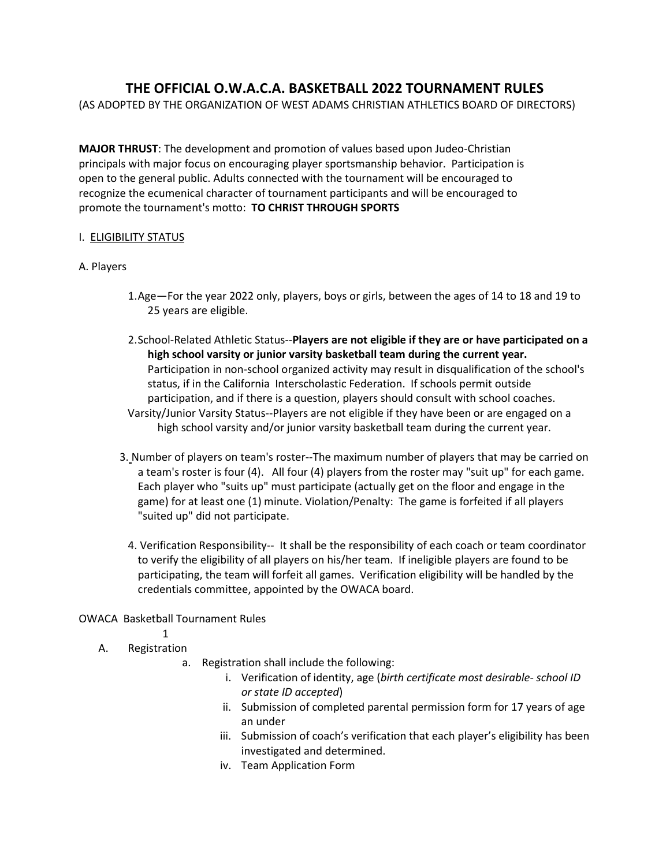# **THE OFFICIAL O.W.A.C.A. BASKETBALL 2022 TOURNAMENT RULES**

(AS ADOPTED BY THE ORGANIZATION OF WEST ADAMS CHRISTIAN ATHLETICS BOARD OF DIRECTORS)

**MAJOR THRUST**: The development and promotion of values based upon Judeo-Christian principals with major focus on encouraging player sportsmanship behavior. Participation is open to the general public. Adults connected with the tournament will be encouraged to recognize the ecumenical character of tournament participants and will be encouraged to promote the tournament's motto: **TO CHRIST THROUGH SPORTS**

# I. ELIGIBILITY STATUS

#### A. Players

- 1.Age—For the year 2022 only, players, boys or girls, between the ages of 14 to 18 and 19 to 25 years are eligible.
- 2.School-Related Athletic Status--**Players are not eligible if they are or have participated on a high school varsity or junior varsity basketball team during the current year.**  Participation in non-school organized activity may result in disqualification of the school's status, if in the California Interscholastic Federation. If schools permit outside participation, and if there is a question, players should consult with school coaches. Varsity/Junior Varsity Status--Players are not eligible if they have been or are engaged on a high school varsity and/or junior varsity basketball team during the current year.
- 3. Number of players on team's roster--The maximum number of players that may be carried on a team's roster is four (4). All four (4) players from the roster may "suit up" for each game. Each player who "suits up" must participate (actually get on the floor and engage in the game) for at least one (1) minute. Violation/Penalty: The game is forfeited if all players "suited up" did not participate.
	- 4. Verification Responsibility-- It shall be the responsibility of each coach or team coordinator to verify the eligibility of all players on his/her team. If ineligible players are found to be participating, the team will forfeit all games. Verification eligibility will be handled by the credentials committee, appointed by the OWACA board.

# OWACA Basketball Tournament Rules

- 1
- A. Registration
	- a. Registration shall include the following:
		- i. Verification of identity, age (*birth certificate most desirable- school ID or state ID accepted*)
		- ii. Submission of completed parental permission form for 17 years of age an under
		- iii. Submission of coach's verification that each player's eligibility has been investigated and determined.
		- iv. Team Application Form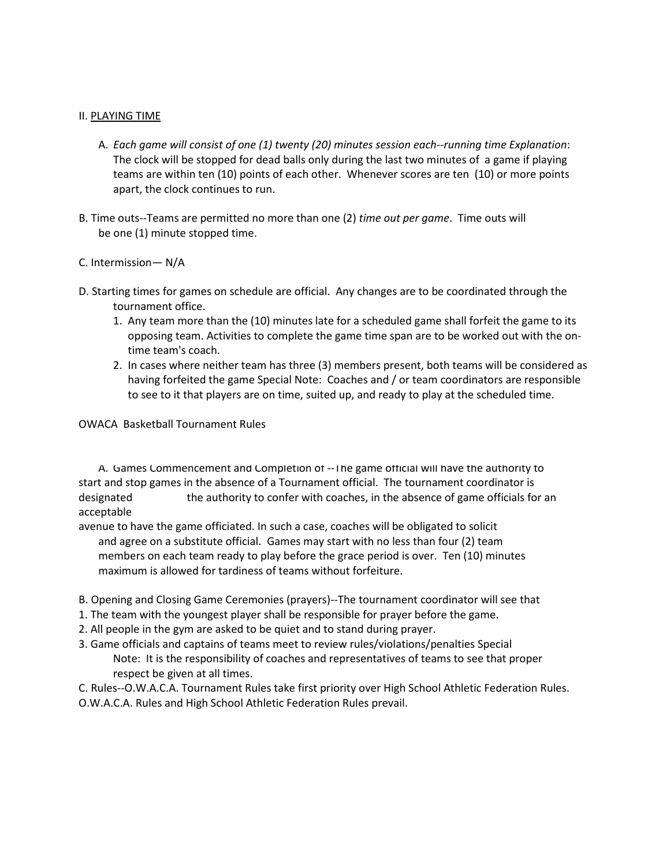## II. PLAYING TIME

- A. *Each game will consist of one (1) twenty (20) minutes session each--running time Explanation*: The clock will be stopped for dead balls only during the last two minutes of a game if playing teams are within ten (10) points of each other. Whenever scores are ten (10) or more points apart, the clock continues to run.
- B. Time outs--Teams are permitted no more than one (2) *time out per game*. Time outs will be one (1) minute stopped time.

## C. Intermission— N/A

- D. Starting times for games on schedule are official. Any changes are to be coordinated through the tournament office.
	- 1. Any team more than the (10) minutes late for a scheduled game shall forfeit the game to its opposing team. Activities to complete the game time span are to be worked out with the ontime team's coach.
	- 2. In cases where neither team has three (3) members present, both teams will be considered as having forfeited the game Special Note: Coaches and / or team coordinators are responsible to see to it that players are on time, suited up, and ready to play at the scheduled time.

OWACA Basketball Tournament Rules

A. Games Commencement and Completion of -- I he game official will have the authority to start and stop games in the absence of a Tournament official. The tournament coordinator is designated the authority to confer with coaches, in the absence of game officials for an acceptable

avenue to have the game officiated. In such a case, coaches will be obligated to solicit and agree on a substitute official. Games may start with no less than four (2) team members on each team ready to play before the grace period is over. Ten (10) minutes maximum is allowed for tardiness of teams without forfeiture.

- B. Opening and Closing Game Ceremonies (prayers)--The tournament coordinator will see that
- 1. The team with the youngest player shall be responsible for prayer before the game.
- 2. All people in the gym are asked to be quiet and to stand during prayer.
- 3. Game officials and captains of teams meet to review rules/violations/penalties Special Note: It is the responsibility of coaches and representatives of teams to see that proper respect be given at all times.
- C. Rules--O.W.A.C.A. Tournament Rules take first priority over High School Athletic Federation Rules.
- O.W.A.C.A. Rules and High School Athletic Federation Rules prevail.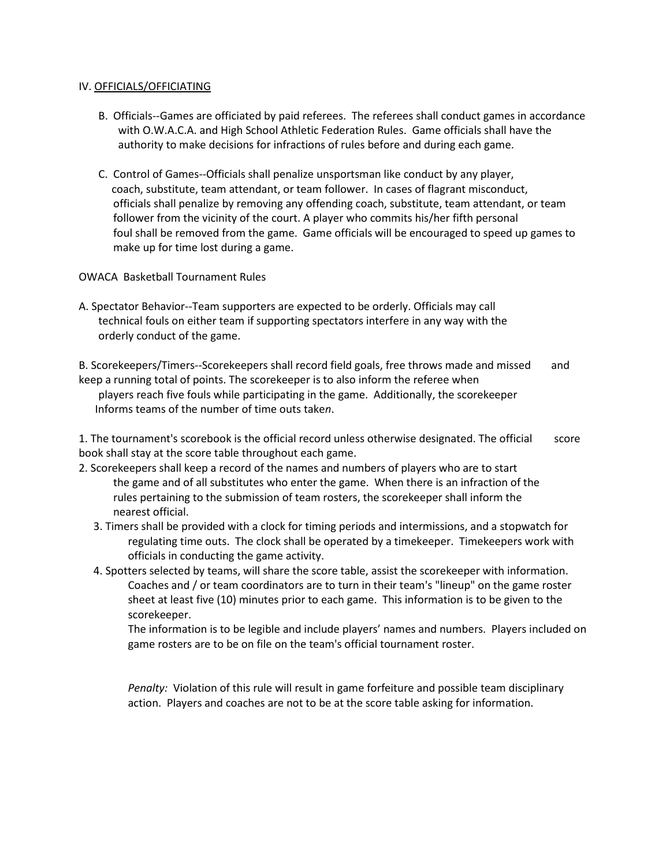#### IV. OFFICIALS/OFFICIATING

- B. Officials--Games are officiated by paid referees. The referees shall conduct games in accordance with O.W.A.C.A. and High School Athletic Federation Rules. Game officials shall have the authority to make decisions for infractions of rules before and during each game.
- C. Control of Games--Officials shall penalize unsportsman like conduct by any player, coach, substitute, team attendant, or team follower. In cases of flagrant misconduct, officials shall penalize by removing any offending coach, substitute, team attendant, or team follower from the vicinity of the court. A player who commits his/her fifth personal foul shall be removed from the game. Game officials will be encouraged to speed up games to make up for time lost during a game.

OWACA Basketball Tournament Rules

A. Spectator Behavior--Team supporters are expected to be orderly. Officials may call technical fouls on either team if supporting spectators interfere in any way with the orderly conduct of the game.

B. Scorekeepers/Timers--Scorekeepers shall record field goals, free throws made and missed and keep a running total of points. The scorekeeper is to also inform the referee when players reach five fouls while participating in the game. Additionally, the scorekeeper Informs teams of the number of time outs take*n*.

1. The tournament's scorebook is the official record unless otherwise designated. The official score book shall stay at the score table throughout each game.

- 2. Scorekeepers shall keep a record of the names and numbers of players who are to start the game and of all substitutes who enter the game. When there is an infraction of the rules pertaining to the submission of team rosters, the scorekeeper shall inform the nearest official.
	- 3. Timers shall be provided with a clock for timing periods and intermissions, and a stopwatch for regulating time outs. The clock shall be operated by a timekeeper. Timekeepers work with officials in conducting the game activity.
	- 4. Spotters selected by teams, will share the score table, assist the scorekeeper with information. Coaches and / or team coordinators are to turn in their team's "lineup" on the game roster sheet at least five (10) minutes prior to each game. This information is to be given to the scorekeeper.

The information is to be legible and include players' names and numbers. Players included on game rosters are to be on file on the team's official tournament roster.

*Penalty:* Violation of this rule will result in game forfeiture and possible team disciplinary action. Players and coaches are not to be at the score table asking for information.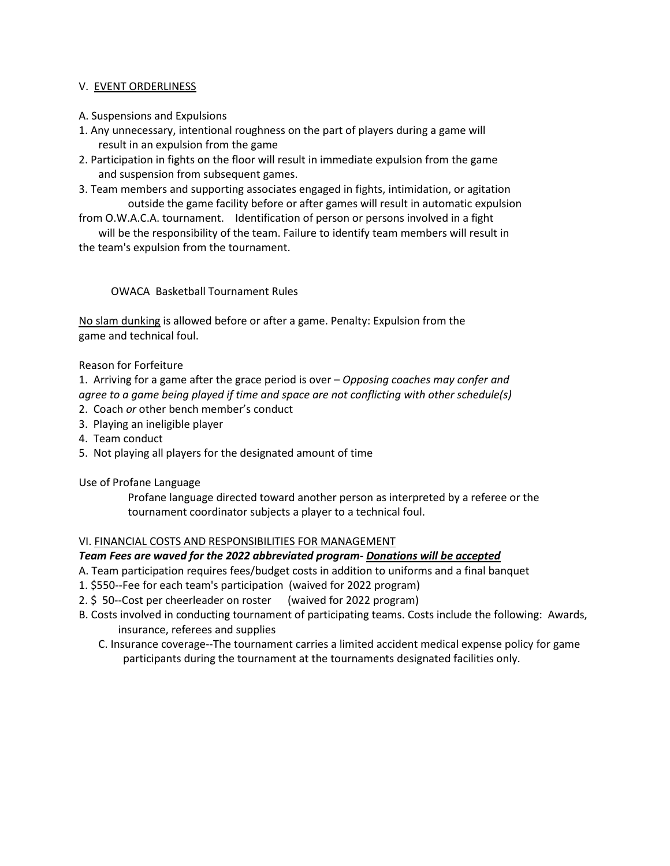# V. EVENT ORDERLINESS

- A. Suspensions and Expulsions
- 1. Any unnecessary, intentional roughness on the part of players during a game will result in an expulsion from the game
- 2. Participation in fights on the floor will result in immediate expulsion from the game and suspension from subsequent games.
- 3. Team members and supporting associates engaged in fights, intimidation, or agitation outside the game facility before or after games will result in automatic expulsion
- from O.W.A.C.A. tournament. Identification of person or persons involved in a fight will be the responsibility of the team. Failure to identify team members will result in

the team's expulsion from the tournament.

# OWACA Basketball Tournament Rules

No slam dunking is allowed before or after a game. Penalty: Expulsion from the game and technical foul.

# Reason for Forfeiture

1. Arriving for a game after the grace period is over – *Opposing coaches may confer and agree to a game being played if time and space are not conflicting with other schedule(s)* 

- 2. Coach *or* other bench member's conduct
- 3. Playing an ineligible player
- 4. Team conduct
- 5. Not playing all players for the designated amount of time

#### Use of Profane Language

Profane language directed toward another person as interpreted by a referee or the tournament coordinator subjects a player to a technical foul.

#### VI. FINANCIAL COSTS AND RESPONSIBILITIES FOR MANAGEMENT

# *Team Fees are waved for the 2022 abbreviated program- Donations will be accepted*

- A. Team participation requires fees/budget costs in addition to uniforms and a final banquet
- 1. \$550--Fee for each team's participation (waived for 2022 program)
- 2. \$ 50--Cost per cheerleader on roster (waived for 2022 program)
- B. Costs involved in conducting tournament of participating teams. Costs include the following: Awards, insurance, referees and supplies
	- C. Insurance coverage--The tournament carries a limited accident medical expense policy for game participants during the tournament at the tournaments designated facilities only.